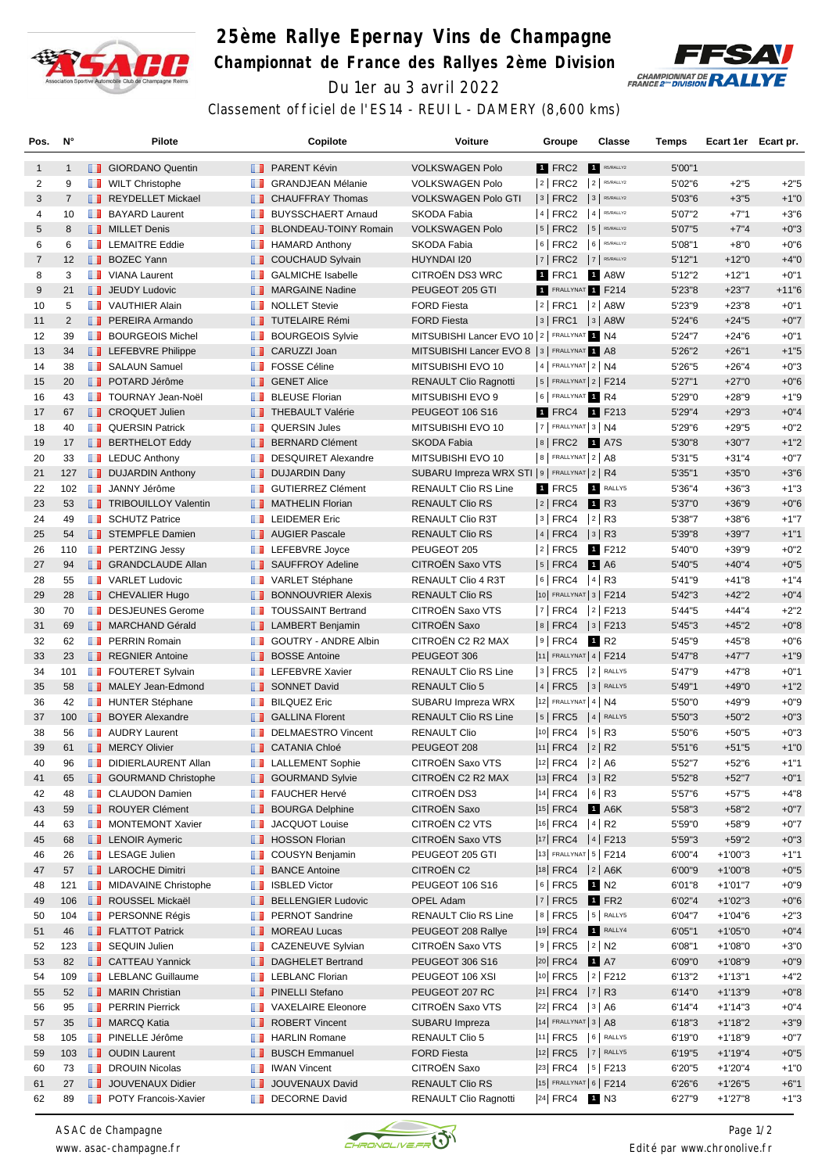

## **25ème Rallye Epernay Vins de Champagne Championnat de France des Rallyes 2ème Division** Du 1er au 3 avril 2022



Classement officiel de l'ES14 - REUIL - DAMERY (8,600 kms)

| Pos.           | N°             |      | <b>Pilote</b>                              |                   | Copilote                     | <b>Voiture</b>                                  | Groupe                     |           | Classe               | Temps   | Ecart 1er Ecart pr. |         |
|----------------|----------------|------|--------------------------------------------|-------------------|------------------------------|-------------------------------------------------|----------------------------|-----------|----------------------|---------|---------------------|---------|
| 1              | $\mathbf{1}$   |      | <b>B</b> GIORDANO Quentin                  |                   | <b>B</b> PARENT Kévin        | <b>VOLKSWAGEN Polo</b>                          | 1 FRC2                     | $\vert$ 1 | R5/RALLY2            | 5'00"1  |                     |         |
| 2              | 9              |      | <b>NILT</b> Christophe                     | <b>A</b>          | <b>GRANDJEAN Mélanie</b>     | <b>VOLKSWAGEN Polo</b>                          | $ 2 $ FRC2                 |           | $2$ R5/RALLY2        | 5'02"6  | $+2"5$              | $+2"5$  |
| 3              | $\overline{7}$ |      | REYDELLET Mickael                          |                   | <b>F</b> CHAUFFRAY Thomas    | <b>VOLKSWAGEN Polo GTI</b>                      | $ 3 $ FRC2                 |           | 3 R5/RALLY2          | 5'03"6  | $+3"5$              | $+1"0$  |
| 4              | 10             | ш    | <b>BAYARD Laurent</b>                      | ш                 | <b>BUYSSCHAERT Arnaud</b>    | SKODA Fabia                                     | 4 FRC2                     |           | $4$ R5/RALLY2        | 5'07"2  | $+7"1$              | $+3"6$  |
| 5              | 8              |      | <b>NILLET</b> Denis                        | ш                 | <b>BLONDEAU-TOINY Romain</b> | <b>VOLKSWAGEN Polo</b>                          | $ 5 $ FRC2                 |           | $5$ R5/RALLY2        | 5'07"5  | $+7"4$              | $+0"3$  |
| 6              | 6              |      | <b>EXECUTE Eddie</b>                       |                   | <b>HAMARD Anthony</b>        | SKODA Fabia                                     | $6$ FRC2                   |           | 6 R5/RALLY2          | 5'08"1  | $+8"0$              | $+0"6$  |
| $\overline{7}$ | 12             |      | <b>BOZEC Yann</b>                          | <b>IL 18</b>      | <b>COUCHAUD Sylvain</b>      | HUYNDAI I20                                     | $ 7 $ FRC2                 |           | 7 R5/RALLY2          | 5'12"1  | $+12"0$             | $+4"0$  |
| 8              | 3              |      | VIANA Laurent                              | w                 | <b>GALMICHE Isabelle</b>     | CITROËN DS3 WRC                                 | 1 FRC1                     |           | 1 A8W                | 5'12"2  | $+12"1$             | $+0"1$  |
| 9              | 21             |      | <b>JEUDY Ludovic</b>                       |                   | <b>NARGAINE Nadine</b>       | PEUGEOT 205 GTI                                 | 1 FRALLYNAT 1 F214         |           |                      | 5'23"8  | $+23"7$             | $+11"6$ |
| 10             | 5              |      | <b>T</b> VAUTHIER Alain                    | ш                 | <b>NOLLET Stevie</b>         | <b>FORD Fiesta</b>                              | 2   FRC1                   |           | $ 2 $ A8W            | 5'23"9  | $+23"8$             | $+0"1$  |
| 11             | $\overline{2}$ |      | <b>FREIRA</b> Armando                      |                   | <b>TUTELAIRE Rémi</b>        | <b>FORD Fiesta</b>                              | $ 3 $ FRC1                 |           | $ 3 $ A8W            | 5'24"6  | $+24"5$             | $+0"7$  |
| 12             | 39             |      | <b>BOURGEOIS Michel</b>                    | m                 | <b>BOURGEOIS Sylvie</b>      | MITSUBISHI Lancer EVO 10   2   FRALLYNAT 1 N4   |                            |           |                      | 5'24"7  | $+24"6$             | $+0"1$  |
| 13             | 34             |      | <b>Exercise Exercise</b> LEFEBVRE Philippe | <b>II</b>         | CARUZZI Joan                 | MITSUBISHI Lancer EVO 8   3   FRALLYNAT 1 A8    |                            |           |                      | 5'26"2  | $+26"1$             | $+1"5$  |
| 14             | 38             |      | <b>B</b> SALAUN Samuel                     | <b>The Co</b>     | <b>FOSSE Céline</b>          | MITSUBISHI EVO 10                               | $ 4 $ FRALLYNAT $ 2 $ N4   |           |                      | 5'26"5  | $+26"4$             | $+0"3$  |
| 15             | 20             |      | <b>DE POTARD Jérôme</b>                    |                   | <b>B</b> GENET Alice         | <b>RENAULT Clio Ragnotti</b>                    | $ 5 $ FRALLYNAT $ 2 $ F214 |           |                      | 5'27"1  | $+27"0$             | $+0"6$  |
| 16             | 43             |      | <b>TOURNAY Jean-Noël</b>                   | ш                 | <b>BLEUSE Florian</b>        | MITSUBISHI EVO 9                                | 6 FRALLYNAT 1 R4           |           |                      | 5'29"0  | $+28"9$             | $+1"9$  |
| 17             | 67             |      | <b>T</b> CROQUET Julien                    |                   | <b>THEBAULT Valérie</b>      | <b>PEUGEOT 106 S16</b>                          | 1 FRC4 1 F213              |           |                      | 5'29"4  | $+29"3$             | $+0"4$  |
| 18             | 40             |      | <b>T</b> QUERSIN Patrick                   | <b>The Co</b>     | <b>QUERSIN Jules</b>         | MITSUBISHI EVO 10                               | $ 7 $ FRALLYNAT $ 3 $ N4   |           |                      | 5'29"6  | $+29"5$             | $+0"2$  |
| 19             | 17             |      | <b>BERTHELOT Eddy</b>                      | ш                 | <b>BERNARD Clément</b>       | <b>SKODA Fabia</b>                              | 8 FRC2 1 A7S               |           |                      | 5'30"8  | $+30"7$             | $+1"2$  |
| 20             | 33             |      | <b>Example 2</b> LEDUC Anthony             | <b>THE R</b>      | <b>DESQUIRET Alexandre</b>   | MITSUBISHI EVO 10                               | 8 FRALLYNAT 2 A8           |           |                      | 5'31"5  | $+31"4$             | $+0"7$  |
| 21             | 127            |      | <b>DUJARDIN Anthony</b>                    | ш                 | <b>DUJARDIN Dany</b>         | SUBARU Impreza WRX STI   9   FRALLYNAT   2   R4 |                            |           |                      | 5'35"1  | $+35"0$             | $+3"6$  |
| 22             | 102            | a sa | JANNY Jérôme                               | ш                 | <b>GUTIERREZ Clément</b>     | RENAULT Clio RS Line                            | 1 FRC5                     |           | RALLY5               | 5'36"4  | $+36"3$             | $+1"3$  |
| 23             | 53             |      | <b>TRIBOUILLOY Valentin</b>                |                   | <b>NATHELIN Florian</b>      | <b>RENAULT Clio RS</b>                          | 2   FRC4                   |           | <b>1</b> R3          | 5'37"0  | $+36"9$             | $+0"6$  |
| 24             | 49             |      | <b>SCHUTZ Patrice</b>                      |                   | <b>EXECUTEMER Eric</b>       | RENAULT Clio R3T                                | $ 3 $ FRC4                 |           | $ 2 $ R3             | 5'38"7  | $+38"6$             | $+1"7$  |
| 25             | 54             |      | <b>STEMPFLE Damien</b>                     |                   | <b>AUGIER Pascale</b>        | <b>RENAULT Clio RS</b>                          | $ 4 $ FRC4 $ 3 $ R3        |           |                      | 5'39"8  | $+39"7$             | $+1"1$  |
| 26             | 110            |      | <b>FRITZING Jessy</b>                      |                   | <b>LEFEBVRE</b> Joyce        | PEUGEOT 205                                     | $ 2 $ FRC5                 |           | 1 F212               | 5'40"0  | $+39"9$             | $+0"2$  |
| 27             | 94             |      | <b>B</b> GRANDCLAUDE Allan                 | . .               | <b>SAUFFROY Adeline</b>      | CITROËN Saxo VTS                                | $ 5 $ FRC4                 |           | 1 A6                 | 5'40"5  | $+40"4$             | $+0"5$  |
| 28             | 55             |      | <b>T</b> VARLET Ludovic                    | ш                 | VARLET Stéphane              | RENAULT Clio 4 R3T                              | $ 6 $ FRC4                 |           | $ 4 $ R <sub>3</sub> | 5'41"9  | $+41"8$             | $+1"4$  |
| 29             | 28             |      | <b>CHEVALIER Hugo</b>                      | . .               | <b>BONNOUVRIER Alexis</b>    | <b>RENAULT Clio RS</b>                          | 10 FRALLYNAT 3   F214      |           |                      | 5'42"3  | $+42"2$             | $+0"4$  |
| 30             | 70             |      | DESJEUNES Gerome                           | <b>TELEVISION</b> | <b>TOUSSAINT Bertrand</b>    | CITROËN Saxo VTS                                | 7   FRC4   2   F213        |           |                      | 5'44"5  | $+44"4$             | $+2"2$  |
| 31             | 69             |      | <b>NARCHAND Gérald</b>                     |                   | <b>LAMBERT Benjamin</b>      | CITROËN Saxo                                    | 8   FRC4   3   F213        |           |                      | 5'45"3  | $+45"2$             | $+0"8$  |
| 32             | 62             |      | <b>F</b> PERRIN Romain                     |                   | GOUTRY - ANDRE Albin         | CITROËN C2 R2 MAX                               | $ 9 $ FRC4                 |           | 1 R <sub>2</sub>     | 5'45"9  | $+45"8$             | $+0"6$  |
| 33             | 23             |      | <b>REGNIER Antoine</b>                     | ш                 | <b>BOSSE Antoine</b>         | PEUGEOT 306                                     | 11 FRALLYNAT 4   F214      |           |                      | 5'47"8  | $+47"7$             | $+1"9$  |
| 34             | 101            |      | <b>FOUTERET Sylvain</b>                    | ш                 | LEFEBVRE Xavier              | <b>RENAULT Clio RS Line</b>                     | $3$ FRC5                   |           | 2 RALLY5             | 5'47"9  | $+47"8$             | $+0"1$  |
| 35             | 58             |      | MALEY Jean-Edmond                          |                   | <b>B</b> SONNET David        | <b>RENAULT Clio 5</b>                           | 4 FRC5                     |           | 3 RALLY5             | 5'49"1  | $+49"0$             | $+1"2$  |
| 36             | 42             |      | HUNTER Stéphane                            | ш                 | <b>BILQUEZ Eric</b>          | SUBARU Impreza WRX                              | $ 12 $ FRALLYNAT 4   N4    |           |                      | 5'50"0  | $+49"9$             | $+0"9$  |
| 37             | 100            |      | <b>BOYER Alexandre</b>                     | . .               | <b>GALLINA Florent</b>       | <b>RENAULT Clio RS Line</b>                     | $ 5 $ FRC5                 |           | 4 RALLY5             | 5'50"3  | $+50"2$             | $+0"3$  |
| 38             | 56             |      | <b>AUDRY Laurent</b>                       | w                 | <b>DELMAESTRO Vincent</b>    | <b>RENAULT Clio</b>                             | 10 FRC4                    |           | $ 5 $ R3             | 5'50"6  | $+50"5$             | $+0"3$  |
| 39             | 61             |      | <b>I</b> MERCY Olivier                     |                   | <b>EXP</b> CATANIA Chloé     | PEUGEOT 208                                     | 11 FRC4                    |           | $ 2 $ R <sub>2</sub> | 5'51"6  | $+51"5$             | $+1"0$  |
| 40             | 96             |      | DIDIERLAURENT Allan                        |                   | <b>T</b> LALLEMENT Sophie    | CITROËN Saxo VTS                                | 12 FRC4                    |           | 2 A6                 | 5'52"7  | $+52"6$             | $+1"1$  |
| 41             | 65             |      | <b>B</b> GOURMAND Christophe               |                   | <b>B</b> GOURMAND Sylvie     | CITROËN C2 R2 MAX                               | 13 FRC4                    |           | 3 R2                 | 5'52"8  | $+52"7$             | $+0"1$  |
| 42             | 48             |      | <b>CLAUDON Damien</b>                      | <b>The Co</b>     | <b>FAUCHER Hervé</b>         | CITROËN DS3                                     | 14 FRC4                    |           | $ 6 $ R3             | 5'57"6  | $+57"5$             | $+4"8$  |
| 43             | 59             |      | ROUYER Clément                             | ш                 | <b>BOURGA Delphine</b>       | CITROËN Saxo                                    | <sup>15</sup> FRC4         |           | $1$ A6K              | 5'58"3  | $+58"2$             | $+0"7$  |
| 44             | 63             |      | MONTEMONT Xavier                           | ш                 | JACQUOT Louise               | CITROËN C2 VTS                                  | 16 FRC4   4   R2           |           |                      | 5'59"0  | $+58"9$             | $+0"7$  |
| 45             | 68             |      | <b>EXP</b> LENOIR Aymeric                  |                   | <b>B</b> HOSSON Florian      | CITROËN Saxo VTS                                | $ 17 $ FRC4 $ 4 $ F213     |           |                      | 5'59"3  | $+59"2$             | $+0"3$  |
| 46             | 26             |      | <b>EXAGE Julien</b>                        |                   | <b>COUSYN Benjamin</b>       | PEUGEOT 205 GTI                                 | 13 FRALLYNAT 5   F214      |           |                      | 6'00"4  | $+1'00"3$           | $+1"1$  |
| 47             | 57             |      | <b>LAROCHE Dimitri</b>                     | ш                 | <b>BANCE Antoine</b>         | CITROËN C2                                      | 18 FRC4   2   A6K          |           |                      | 6'00"9  | $+1'00''8$          | $+0"5$  |
| 48             | 121            |      | <b>NIDAVAINE Christophe</b>                | w                 | <b>ISBLED Victor</b>         | PEUGEOT 106 S16                                 | $ 6 $ FRC5                 |           | 1 N2                 | 6'01"8  | $+1'01"7$           | $+0"9$  |
| 49             | 106            |      | ROUSSEL Mickaël                            | ш.                | <b>BELLENGIER Ludovic</b>    | OPEL Adam                                       | $ 7 $ FRC5                 |           | $1$ FR2              | 6'02"4  | $+1'02"3$           | $+0"6$  |
| 50             | 104            |      | <b>FRICAN PERSONNE Régis</b>               | m                 | <b>PERNOT Sandrine</b>       | <b>RENAULT Clio RS Line</b>                     | $ 8 $ FRC5                 |           | 5 RALLY5             | 6'04"7  | $+1'04"6$           | $+2"3$  |
| 51             | 46             |      | <b>FLATTOT Patrick</b>                     | ш                 | <b>MOREAU Lucas</b>          | PEUGEOT 208 Rallye                              | $ 19 $ FRC4                |           | RALLY4               | 6'05"1  | $+1'05"0$           | $+0"4$  |
| 52             | 123            |      | <b>SEQUIN Julien</b>                       |                   | <b>CAZENEUVE Sylvian</b>     | CITROËN Saxo VTS                                | $ 9 $ FRC5                 |           | $ 2 $ N2             | 6'08"1  | $+1'08"0$           | $+3"0$  |
| 53             | 82             |      | <b>CATTEAU Yannick</b>                     | ш                 | <b>DAGHELET Bertrand</b>     | PEUGEOT 306 S16                                 | $ 20 $ FRC4                |           | <b>1</b> A7          | 6'09"0  | $+1'08"9$           | $+0"9$  |
| 54             | 109            |      | <b>EXECUTE:</b> LEBLANC Guillaume          |                   | <b>LEBLANC Florian</b>       | PEUGEOT 106 XSI                                 | 10 FRC5                    |           | $ 2 $ F212           | 6'13"2  | $+1'13''1$          | $+4"2$  |
| 55             | 52             |      | <b>NARIN Christian</b>                     | ш                 | <b>PINELLI Stefano</b>       | PEUGEOT 207 RC                                  | $ 21 $ FRC4                |           | 7 R3                 | 6'14"0  | $+1'13''9$          | $+0"8$  |
| 56             | 95             |      | <b>FRAIN Pierrick</b>                      | m                 | <b>VAXELAIRE Eleonore</b>    | CITROEN Saxo VTS                                | $ 22 $ FRC4                |           | 3   A6               | 6'14''4 | +1'14"3             | $+0"4$  |
| 57             | 35             |      | <b>NARCQ Katia</b>                         | ш                 | <b>ROBERT Vincent</b>        | SUBARU Impreza                                  | $ 14 $ FRALLYNAT 3   A8    |           |                      | 6'18''3 | $+1'18''2$          | $+3"9$  |
| 58             | 105            |      | <b>Fi</b> PINELLE Jérôme                   |                   | <b>B</b> HARLIN Romane       | <b>RENAULT Clio 5</b>                           | 11 FRC5 6 RALLY5           |           |                      | 6'19"0  | $+1'18"9$           | $+0"7$  |
| 59             | 103            |      | <b>D</b> OUDIN Laurent                     | ш                 | <b>BUSCH Emmanuel</b>        | <b>FORD Fiesta</b>                              | 12 FRC5 7 RALLY5           |           |                      | 6'19"5  | $+1'19''4$          | $+0"5$  |
| 60             | 73             |      | <b>DROUIN Nicolas</b>                      | <b>THE R</b>      | <b>IWAN Vincent</b>          | CITROËN Saxo                                    | $ 23 $ FRC4 $ 5 $ F213     |           |                      | 6'20"5  | $+1'20''4$          | $+1"0$  |
| 61             | 27             |      | JOUVENAUX Didier                           | ш                 | JOUVENAUX David              | RENAULT Clio RS                                 | 15 FRALLYNAT 6   F214      |           |                      | 6'26"6  | $+1'26'5$           | $+6"1$  |
| 62             | 89             |      | <b>POTY Francois-Xavier</b>                |                   | DECORNE David                | RENAULT Clio Ragnotti                           | 24 FRC4 1 N3               |           |                      | 6'27"9  | $+1'27''8$          | $+1"3$  |